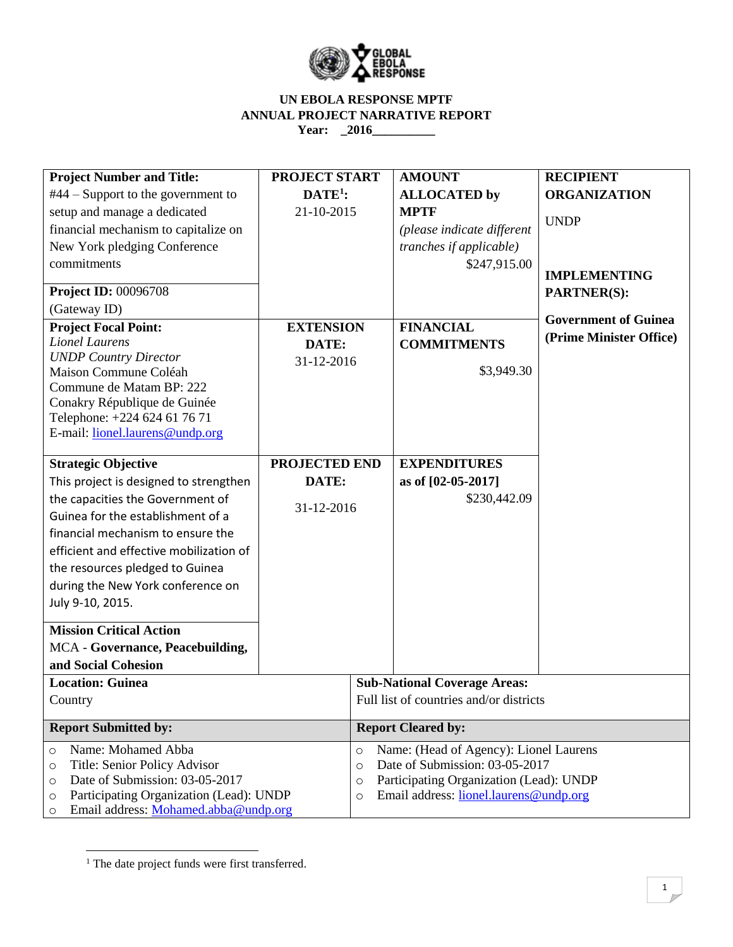

#### **UN EBOLA RESPONSE MPTF ANNUAL PROJECT NARRATIVE REPORT Year: \_2016\_\_\_\_\_\_\_\_\_\_**

| <b>Project Number and Title:</b>                                                                                                                                                                                                                                                                                                                                                                                                                              | <b>PROJECT START</b>                        |                                                    | <b>AMOUNT</b>                                                                                                                                             | <b>RECIPIENT</b>            |  |  |
|---------------------------------------------------------------------------------------------------------------------------------------------------------------------------------------------------------------------------------------------------------------------------------------------------------------------------------------------------------------------------------------------------------------------------------------------------------------|---------------------------------------------|----------------------------------------------------|-----------------------------------------------------------------------------------------------------------------------------------------------------------|-----------------------------|--|--|
| $#44$ – Support to the government to                                                                                                                                                                                                                                                                                                                                                                                                                          | $\mathbf{DATE}^1$ :                         |                                                    | <b>ALLOCATED by</b>                                                                                                                                       | <b>ORGANIZATION</b>         |  |  |
| setup and manage a dedicated                                                                                                                                                                                                                                                                                                                                                                                                                                  | 21-10-2015                                  |                                                    | <b>MPTF</b>                                                                                                                                               |                             |  |  |
| financial mechanism to capitalize on                                                                                                                                                                                                                                                                                                                                                                                                                          |                                             |                                                    | (please indicate different                                                                                                                                | <b>UNDP</b>                 |  |  |
| New York pledging Conference                                                                                                                                                                                                                                                                                                                                                                                                                                  |                                             |                                                    | tranches if applicable)                                                                                                                                   |                             |  |  |
| commitments                                                                                                                                                                                                                                                                                                                                                                                                                                                   |                                             |                                                    | \$247,915.00                                                                                                                                              |                             |  |  |
|                                                                                                                                                                                                                                                                                                                                                                                                                                                               |                                             |                                                    |                                                                                                                                                           | <b>IMPLEMENTING</b>         |  |  |
| <b>Project ID: 00096708</b>                                                                                                                                                                                                                                                                                                                                                                                                                                   |                                             |                                                    |                                                                                                                                                           | <b>PARTNER(S):</b>          |  |  |
| (Gateway ID)                                                                                                                                                                                                                                                                                                                                                                                                                                                  |                                             |                                                    |                                                                                                                                                           | <b>Government of Guinea</b> |  |  |
| <b>Project Focal Point:</b>                                                                                                                                                                                                                                                                                                                                                                                                                                   | <b>EXTENSION</b>                            |                                                    | <b>FINANCIAL</b>                                                                                                                                          | (Prime Minister Office)     |  |  |
| <b>Lionel Laurens</b>                                                                                                                                                                                                                                                                                                                                                                                                                                         | DATE:                                       |                                                    | <b>COMMITMENTS</b>                                                                                                                                        |                             |  |  |
| <b>UNDP</b> Country Director                                                                                                                                                                                                                                                                                                                                                                                                                                  | 31-12-2016                                  |                                                    |                                                                                                                                                           |                             |  |  |
|                                                                                                                                                                                                                                                                                                                                                                                                                                                               |                                             |                                                    |                                                                                                                                                           |                             |  |  |
|                                                                                                                                                                                                                                                                                                                                                                                                                                                               |                                             |                                                    |                                                                                                                                                           |                             |  |  |
|                                                                                                                                                                                                                                                                                                                                                                                                                                                               |                                             |                                                    |                                                                                                                                                           |                             |  |  |
| E-mail: lionel.laurens@undp.org                                                                                                                                                                                                                                                                                                                                                                                                                               |                                             |                                                    |                                                                                                                                                           |                             |  |  |
|                                                                                                                                                                                                                                                                                                                                                                                                                                                               |                                             |                                                    |                                                                                                                                                           |                             |  |  |
| <b>Strategic Objective</b>                                                                                                                                                                                                                                                                                                                                                                                                                                    |                                             |                                                    |                                                                                                                                                           |                             |  |  |
| This project is designed to strengthen                                                                                                                                                                                                                                                                                                                                                                                                                        |                                             |                                                    |                                                                                                                                                           |                             |  |  |
|                                                                                                                                                                                                                                                                                                                                                                                                                                                               |                                             |                                                    |                                                                                                                                                           |                             |  |  |
|                                                                                                                                                                                                                                                                                                                                                                                                                                                               |                                             |                                                    |                                                                                                                                                           |                             |  |  |
| financial mechanism to ensure the                                                                                                                                                                                                                                                                                                                                                                                                                             |                                             |                                                    |                                                                                                                                                           |                             |  |  |
| efficient and effective mobilization of                                                                                                                                                                                                                                                                                                                                                                                                                       |                                             |                                                    |                                                                                                                                                           |                             |  |  |
| the resources pledged to Guinea                                                                                                                                                                                                                                                                                                                                                                                                                               |                                             |                                                    |                                                                                                                                                           |                             |  |  |
| during the New York conference on                                                                                                                                                                                                                                                                                                                                                                                                                             |                                             |                                                    |                                                                                                                                                           |                             |  |  |
| July 9-10, 2015.                                                                                                                                                                                                                                                                                                                                                                                                                                              |                                             |                                                    |                                                                                                                                                           |                             |  |  |
|                                                                                                                                                                                                                                                                                                                                                                                                                                                               |                                             |                                                    |                                                                                                                                                           |                             |  |  |
|                                                                                                                                                                                                                                                                                                                                                                                                                                                               |                                             |                                                    |                                                                                                                                                           |                             |  |  |
|                                                                                                                                                                                                                                                                                                                                                                                                                                                               |                                             |                                                    |                                                                                                                                                           |                             |  |  |
|                                                                                                                                                                                                                                                                                                                                                                                                                                                               |                                             |                                                    |                                                                                                                                                           |                             |  |  |
|                                                                                                                                                                                                                                                                                                                                                                                                                                                               |                                             |                                                    |                                                                                                                                                           |                             |  |  |
|                                                                                                                                                                                                                                                                                                                                                                                                                                                               |                                             |                                                    |                                                                                                                                                           |                             |  |  |
| <b>Report Submitted by:</b>                                                                                                                                                                                                                                                                                                                                                                                                                                   |                                             |                                                    | <b>Report Cleared by:</b>                                                                                                                                 |                             |  |  |
| Name: Mohamed Abba<br>$\circ$                                                                                                                                                                                                                                                                                                                                                                                                                                 |                                             |                                                    | Name: (Head of Agency): Lionel Laurens<br>$\circ$                                                                                                         |                             |  |  |
| Title: Senior Policy Advisor<br>$\circ$                                                                                                                                                                                                                                                                                                                                                                                                                       |                                             |                                                    | Date of Submission: 03-05-2017<br>$\circ$                                                                                                                 |                             |  |  |
| O                                                                                                                                                                                                                                                                                                                                                                                                                                                             |                                             | Participating Organization (Lead): UNDP<br>$\circ$ |                                                                                                                                                           |                             |  |  |
| $\circ$                                                                                                                                                                                                                                                                                                                                                                                                                                                       |                                             |                                                    | Email address: lionel.laurens@undp.org<br>$\circ$                                                                                                         |                             |  |  |
| Maison Commune Coléah<br>Commune de Matam BP: 222<br>Conakry République de Guinée<br>Telephone: +224 624 61 76 71<br>the capacities the Government of<br>Guinea for the establishment of a<br><b>Mission Critical Action</b><br>MCA - Governance, Peacebuilding,<br>and Social Cohesion<br><b>Location: Guinea</b><br>Country<br>Date of Submission: 03-05-2017<br>Participating Organization (Lead): UNDP<br>Email address: Mohamed.abba@undp.org<br>$\circ$ | <b>PROJECTED END</b><br>DATE:<br>31-12-2016 |                                                    | \$3,949.30<br><b>EXPENDITURES</b><br>as of [02-05-2017]<br>\$230,442.09<br><b>Sub-National Coverage Areas:</b><br>Full list of countries and/or districts |                             |  |  |

<sup>&</sup>lt;sup>1</sup> The date project funds were first transferred.

 $\overline{\phantom{a}}$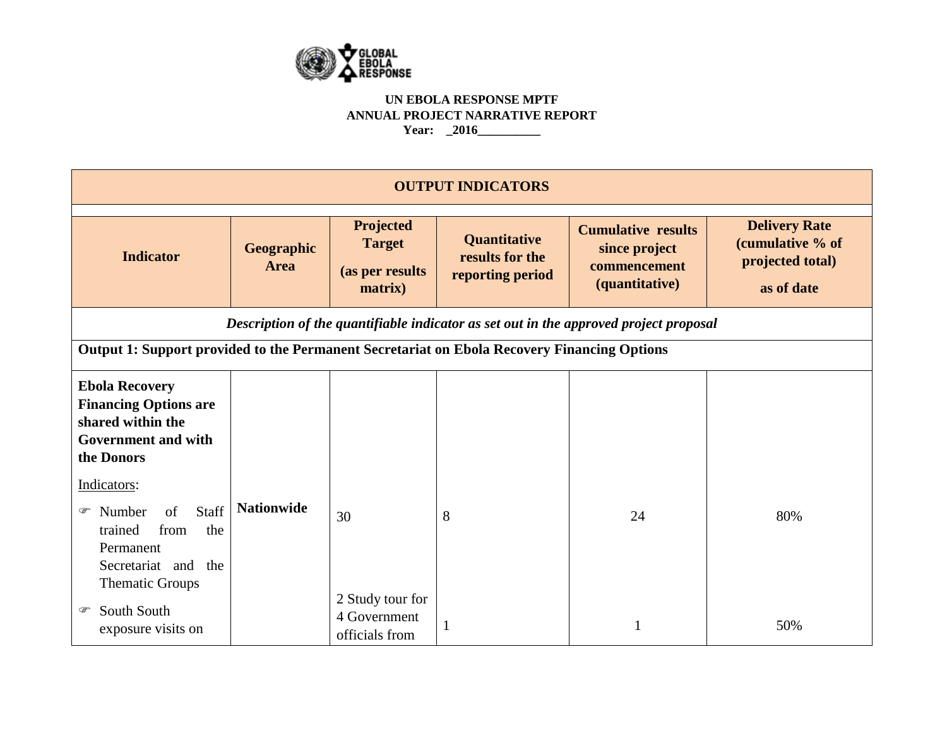

#### **UN EBOLA RESPONSE MPTF ANNUAL PROJECT NARRATIVE REPORT Year: \_2016\_\_\_\_\_\_\_\_\_\_**

| <b>OUTPUT INDICATORS</b>                                                                                                             |                    |                                                                 |                                                            |                                                                                       |                                                                            |
|--------------------------------------------------------------------------------------------------------------------------------------|--------------------|-----------------------------------------------------------------|------------------------------------------------------------|---------------------------------------------------------------------------------------|----------------------------------------------------------------------------|
| <b>Indicator</b>                                                                                                                     | Geographic<br>Area | <b>Projected</b><br><b>Target</b><br>(as per results<br>matrix) | <b>Quantitative</b><br>results for the<br>reporting period | <b>Cumulative results</b><br>since project<br>commencement<br>(quantitative)          | <b>Delivery Rate</b><br>(cumulative % of<br>projected total)<br>as of date |
|                                                                                                                                      |                    |                                                                 |                                                            | Description of the quantifiable indicator as set out in the approved project proposal |                                                                            |
| Output 1: Support provided to the Permanent Secretariat on Ebola Recovery Financing Options                                          |                    |                                                                 |                                                            |                                                                                       |                                                                            |
| <b>Ebola Recovery</b><br><b>Financing Options are</b><br>shared within the<br><b>Government and with</b><br>the Donors               |                    |                                                                 |                                                            |                                                                                       |                                                                            |
| Indicators:<br>Staff<br>of<br>Number<br>☞<br>from<br>trained<br>the<br>Permanent<br>Secretariat and<br>the<br><b>Thematic Groups</b> | <b>Nationwide</b>  | 30                                                              | 8                                                          | 24                                                                                    | 80%                                                                        |
| South South<br>☞<br>exposure visits on                                                                                               |                    | 2 Study tour for<br>4 Government<br>officials from              |                                                            |                                                                                       | 50%                                                                        |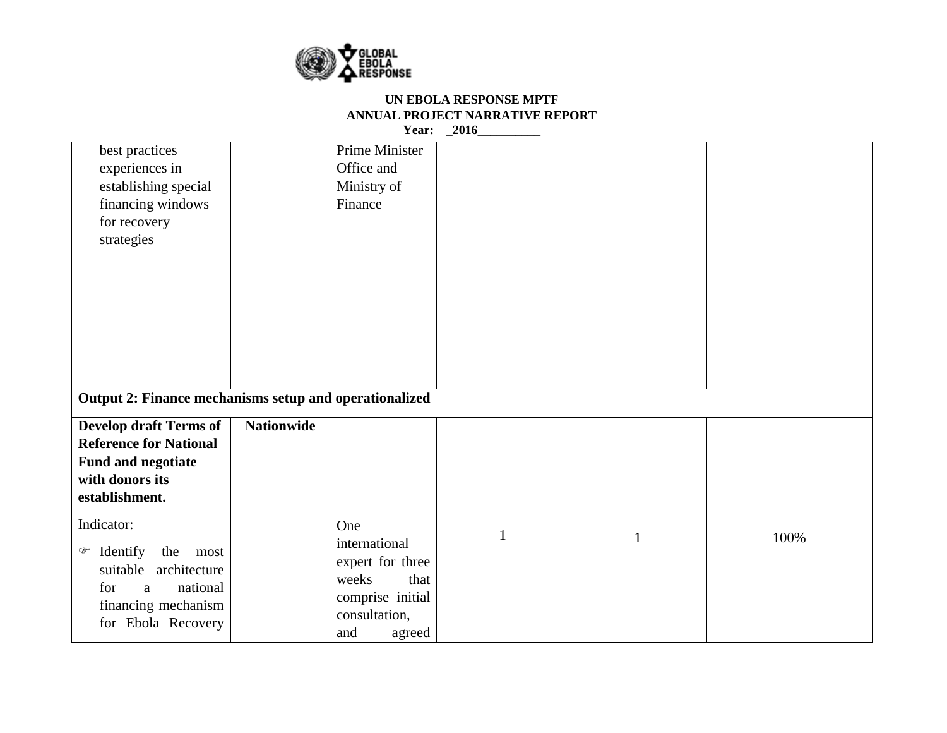

| best practices<br>experiences in<br>establishing special<br>financing windows<br>for recovery<br>strategies                                 |                   | Prime Minister<br>Office and<br>Ministry of<br>Finance                                                          |              |              |      |
|---------------------------------------------------------------------------------------------------------------------------------------------|-------------------|-----------------------------------------------------------------------------------------------------------------|--------------|--------------|------|
| Output 2: Finance mechanisms setup and operationalized                                                                                      |                   |                                                                                                                 |              |              |      |
| <b>Develop draft Terms of</b><br><b>Reference for National</b><br>Fund and negotiate<br>with donors its<br>establishment.                   | <b>Nationwide</b> |                                                                                                                 |              |              |      |
| Indicator:<br>Identify<br>the<br>☞<br>most<br>architecture<br>suitable<br>national<br>for<br>a<br>financing mechanism<br>for Ebola Recovery |                   | One<br>international<br>expert for three<br>that<br>weeks<br>comprise initial<br>consultation,<br>and<br>agreed | $\mathbf{1}$ | $\mathbf{1}$ | 100% |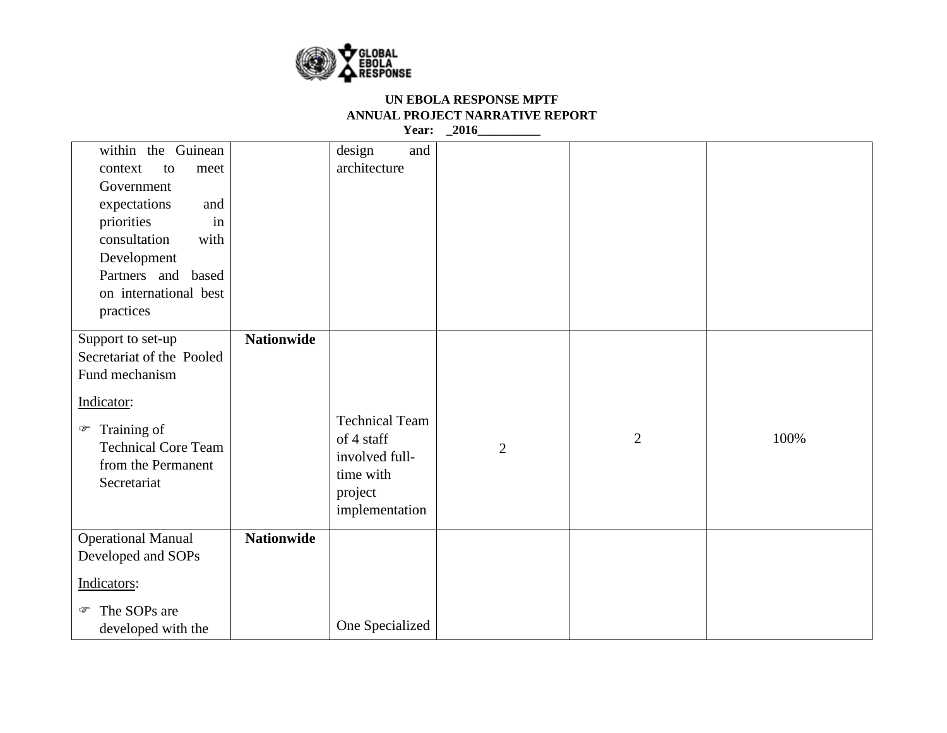

| within the Guinean<br>context<br>to<br>meet<br>Government<br>expectations<br>and<br>priorities<br>in<br>consultation<br>with<br>Development<br>Partners and based<br>on international best<br>practices |                   | design<br>and<br>architecture                                                                   |                |                |      |
|---------------------------------------------------------------------------------------------------------------------------------------------------------------------------------------------------------|-------------------|-------------------------------------------------------------------------------------------------|----------------|----------------|------|
| Support to set-up<br>Secretariat of the Pooled<br>Fund mechanism<br>Indicator:<br>Training of<br>$\circledcirc$<br><b>Technical Core Team</b><br>from the Permanent<br>Secretariat                      | <b>Nationwide</b> | <b>Technical Team</b><br>of 4 staff<br>involved full-<br>time with<br>project<br>implementation | $\mathfrak{2}$ | $\overline{2}$ | 100% |
| <b>Operational Manual</b><br>Developed and SOPs<br>Indicators:<br>The SOPs are<br>☞<br>developed with the                                                                                               | <b>Nationwide</b> | One Specialized                                                                                 |                |                |      |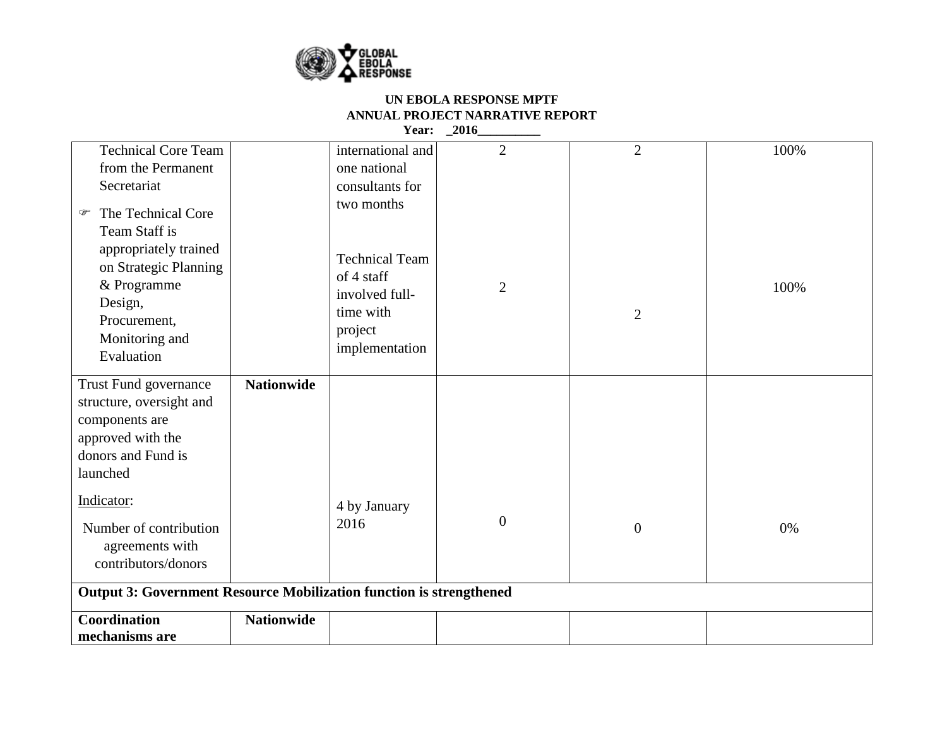

| <b>Technical Core Team</b>                                                                                                                                                                                   |                   | international and                                                                                             | $\overline{2}$   | $\overline{2}$ | 100% |
|--------------------------------------------------------------------------------------------------------------------------------------------------------------------------------------------------------------|-------------------|---------------------------------------------------------------------------------------------------------------|------------------|----------------|------|
| from the Permanent                                                                                                                                                                                           |                   | one national                                                                                                  |                  |                |      |
| Secretariat                                                                                                                                                                                                  |                   | consultants for                                                                                               |                  |                |      |
| The Technical Core<br>☞<br>Team Staff is<br>appropriately trained<br>on Strategic Planning<br>& Programme<br>Design,<br>Procurement,<br>Monitoring and<br>Evaluation                                         |                   | two months<br><b>Technical Team</b><br>of 4 staff<br>involved full-<br>time with<br>project<br>implementation | $\overline{2}$   | $\overline{2}$ | 100% |
| Trust Fund governance<br>structure, oversight and<br>components are<br>approved with the<br>donors and Fund is<br>launched<br>Indicator:<br>Number of contribution<br>agreements with<br>contributors/donors | <b>Nationwide</b> | 4 by January<br>2016                                                                                          | $\boldsymbol{0}$ | $\mathbf{0}$   | 0%   |
| <b>Output 3: Government Resource Mobilization function is strengthened</b>                                                                                                                                   |                   |                                                                                                               |                  |                |      |
| Coordination                                                                                                                                                                                                 | <b>Nationwide</b> |                                                                                                               |                  |                |      |
| mechanisms are                                                                                                                                                                                               |                   |                                                                                                               |                  |                |      |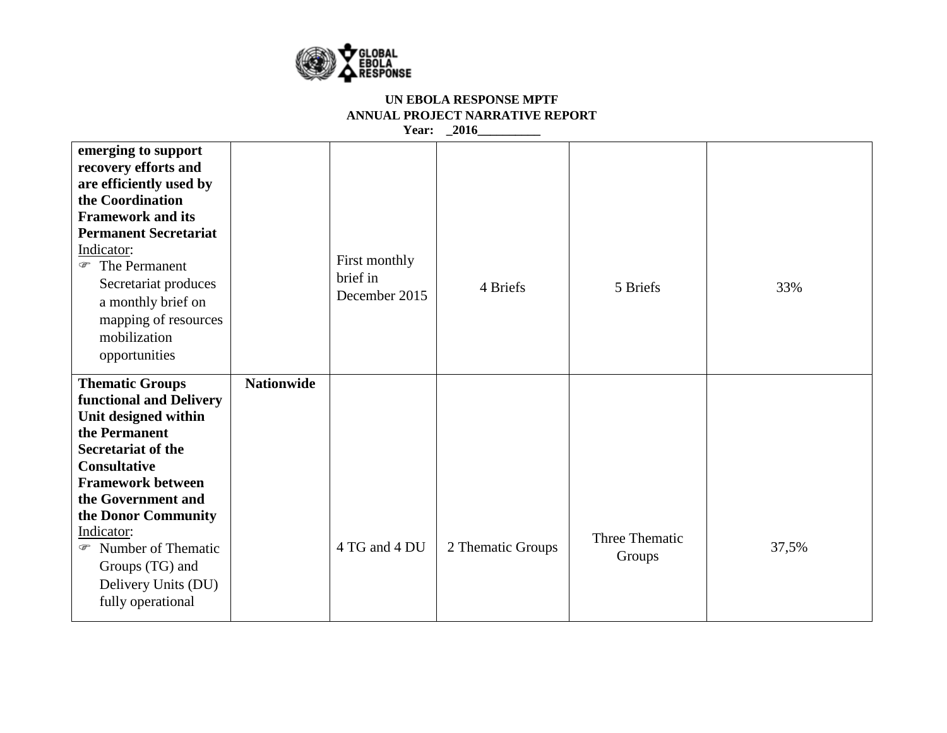

| emerging to support<br>recovery efforts and<br>are efficiently used by<br>the Coordination<br><b>Framework and its</b><br><b>Permanent Secretariat</b><br>Indicator:<br>The Permanent<br>Secretariat produces<br>a monthly brief on<br>mapping of resources<br>mobilization<br>opportunities                                 |                   | First monthly<br>brief in<br>December 2015 | 4 Briefs          | 5 Briefs                 | 33%   |
|------------------------------------------------------------------------------------------------------------------------------------------------------------------------------------------------------------------------------------------------------------------------------------------------------------------------------|-------------------|--------------------------------------------|-------------------|--------------------------|-------|
| <b>Thematic Groups</b><br>functional and Delivery<br>Unit designed within<br>the Permanent<br><b>Secretariat of the</b><br><b>Consultative</b><br><b>Framework between</b><br>the Government and<br>the Donor Community<br>Indicator:<br>• Number of Thematic<br>Groups (TG) and<br>Delivery Units (DU)<br>fully operational | <b>Nationwide</b> | 4 TG and 4 DU                              | 2 Thematic Groups | Three Thematic<br>Groups | 37,5% |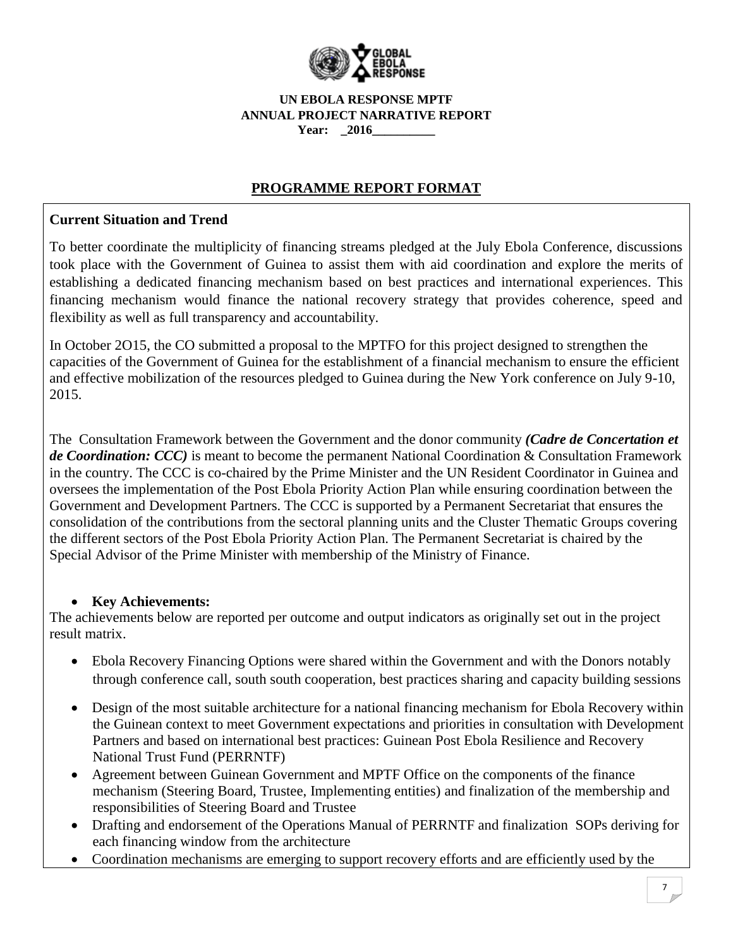

# **PROGRAMME REPORT FORMAT**

## **Current Situation and Trend**

To better coordinate the multiplicity of financing streams pledged at the July Ebola Conference, discussions took place with the Government of Guinea to assist them with aid coordination and explore the merits of establishing a dedicated financing mechanism based on best practices and international experiences. This financing mechanism would finance the national recovery strategy that provides coherence, speed and flexibility as well as full transparency and accountability.

In October 2O15, the CO submitted a proposal to the MPTFO for this project designed to strengthen the capacities of the Government of Guinea for the establishment of a financial mechanism to ensure the efficient and effective mobilization of the resources pledged to Guinea during the New York conference on July 9-10, 2015.

The Consultation Framework between the Government and the donor community *(Cadre de Concertation et de Coordination: CCC)* is meant to become the permanent National Coordination & Consultation Framework in the country. The CCC is co-chaired by the Prime Minister and the UN Resident Coordinator in Guinea and oversees the implementation of the Post Ebola Priority Action Plan while ensuring coordination between the Government and Development Partners. The CCC is supported by a Permanent Secretariat that ensures the consolidation of the contributions from the sectoral planning units and the Cluster Thematic Groups covering the different sectors of the Post Ebola Priority Action Plan. The Permanent Secretariat is chaired by the Special Advisor of the Prime Minister with membership of the Ministry of Finance.

## **Key Achievements:**

The achievements below are reported per outcome and output indicators as originally set out in the project result matrix.

- Ebola Recovery Financing Options were shared within the Government and with the Donors notably through conference call, south south cooperation, best practices sharing and capacity building sessions
- Design of the most suitable architecture for a national financing mechanism for Ebola Recovery within the Guinean context to meet Government expectations and priorities in consultation with Development Partners and based on international best practices: Guinean Post Ebola Resilience and Recovery National Trust Fund (PERRNTF)
- Agreement between Guinean Government and MPTF Office on the components of the finance mechanism (Steering Board, Trustee, Implementing entities) and finalization of the membership and responsibilities of Steering Board and Trustee
- Drafting and endorsement of the Operations Manual of PERRNTF and finalization SOPs deriving for each financing window from the architecture
- Coordination mechanisms are emerging to support recovery efforts and are efficiently used by the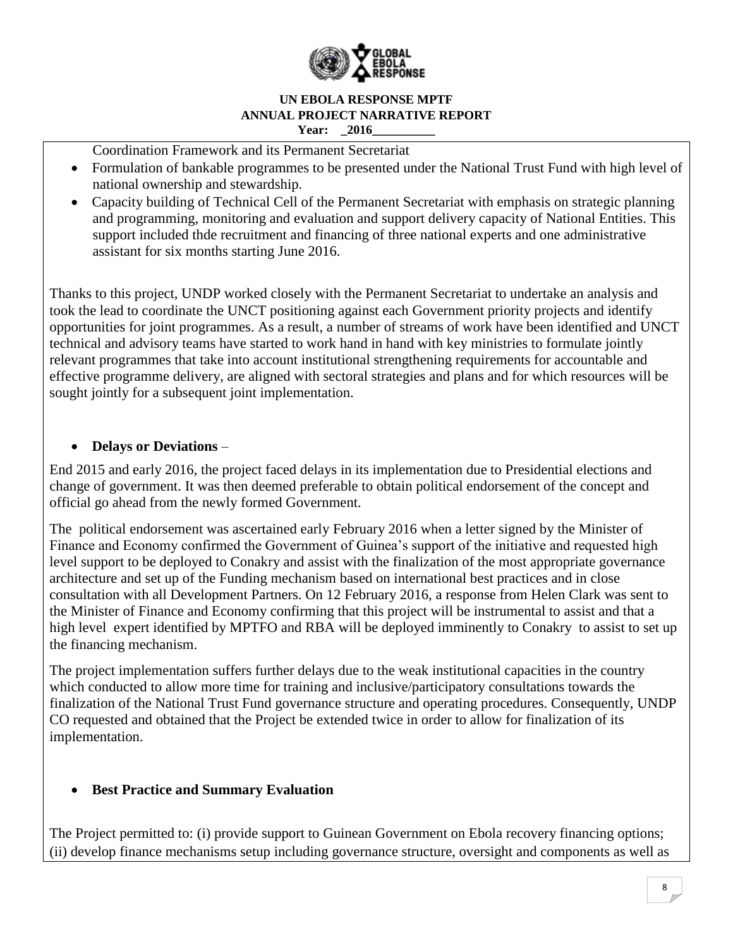

Coordination Framework and its Permanent Secretariat

- Formulation of bankable programmes to be presented under the National Trust Fund with high level of national ownership and stewardship.
- Capacity building of Technical Cell of the Permanent Secretariat with emphasis on strategic planning and programming, monitoring and evaluation and support delivery capacity of National Entities. This support included thde recruitment and financing of three national experts and one administrative assistant for six months starting June 2016.

Thanks to this project, UNDP worked closely with the Permanent Secretariat to undertake an analysis and took the lead to coordinate the UNCT positioning against each Government priority projects and identify opportunities for joint programmes. As a result, a number of streams of work have been identified and UNCT technical and advisory teams have started to work hand in hand with key ministries to formulate jointly relevant programmes that take into account institutional strengthening requirements for accountable and effective programme delivery, are aligned with sectoral strategies and plans and for which resources will be sought jointly for a subsequent joint implementation.

## **Delays or Deviations** *–*

End 2015 and early 2016, the project faced delays in its implementation due to Presidential elections and change of government. It was then deemed preferable to obtain political endorsement of the concept and official go ahead from the newly formed Government.

The political endorsement was ascertained early February 2016 when a letter signed by the Minister of Finance and Economy confirmed the Government of Guinea's support of the initiative and requested high level support to be deployed to Conakry and assist with the finalization of the most appropriate governance architecture and set up of the Funding mechanism based on international best practices and in close consultation with all Development Partners. On 12 February 2016, a response from Helen Clark was sent to the Minister of Finance and Economy confirming that this project will be instrumental to assist and that a high level expert identified by MPTFO and RBA will be deployed imminently to Conakry to assist to set up the financing mechanism.

The project implementation suffers further delays due to the weak institutional capacities in the country which conducted to allow more time for training and inclusive/participatory consultations towards the finalization of the National Trust Fund governance structure and operating procedures. Consequently, UNDP CO requested and obtained that the Project be extended twice in order to allow for finalization of its implementation.

## **Best Practice and Summary Evaluation**

The Project permitted to: (i) provide support to Guinean Government on Ebola recovery financing options; (ii) develop finance mechanisms setup including governance structure, oversight and components as well as